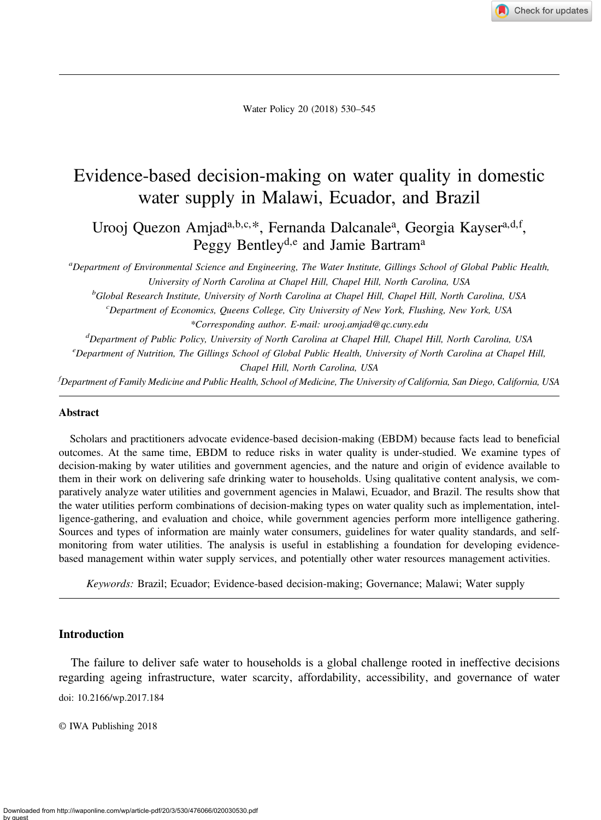

Water Policy 20 (2018) 530–545

# Evidence-based decision-making on water quality in domestic water supply in Malawi, Ecuador, and Brazil

Urooj Quezon Amjad<sup>a,b,c,\*</sup>, Fernanda Dalcanale<sup>a</sup>, Georgia Kayser<sup>a,d,f</sup>, Peggy Bentley<sup>d,e</sup> and Jamie Bartram<sup>a</sup>

<sup>a</sup>Department of Environmental Science and Engineering, The Water Institute, Gillings School of Global Public Health, University of North Carolina at Chapel Hill, Chapel Hill, North Carolina, USA <sup>b</sup>Global Research Institute, University of North Carolina at Chapel Hill, Chapel Hill, North Carolina, USA <sup>c</sup>Department of Economics, Queens College, City University of New York, Flushing, New York, USA \*Corresponding author. E-mail: [urooj.amjad@qc.cuny.edu](mailto:urooj.amjad@qc.cuny.edu) <sup>d</sup>Department of Public Policy, University of North Carolina at Chapel Hill, Chapel Hill, North Carolina, USA e Department of Nutrition, The Gillings School of Global Public Health, University of North Carolina at Chapel Hill, Chapel Hill, North Carolina, USA

<sup>f</sup>Department of Family Medicine and Public Health, School of Medicine, The University of California, San Diego, California, USA

## Abstract

Scholars and practitioners advocate evidence-based decision-making (EBDM) because facts lead to beneficial outcomes. At the same time, EBDM to reduce risks in water quality is under-studied. We examine types of decision-making by water utilities and government agencies, and the nature and origin of evidence available to them in their work on delivering safe drinking water to households. Using qualitative content analysis, we comparatively analyze water utilities and government agencies in Malawi, Ecuador, and Brazil. The results show that the water utilities perform combinations of decision-making types on water quality such as implementation, intelligence-gathering, and evaluation and choice, while government agencies perform more intelligence gathering. Sources and types of information are mainly water consumers, guidelines for water quality standards, and selfmonitoring from water utilities. The analysis is useful in establishing a foundation for developing evidencebased management within water supply services, and potentially other water resources management activities.

Keywords: Brazil; Ecuador; Evidence-based decision-making; Governance; Malawi; Water supply

# Introduction

The failure to deliver safe water to households is a global challenge rooted in ineffective decisions regarding ageing infrastructure, water scarcity, affordability, accessibility, and governance of water doi: 10.2166/wp.2017.184

© IWA Publishing 2018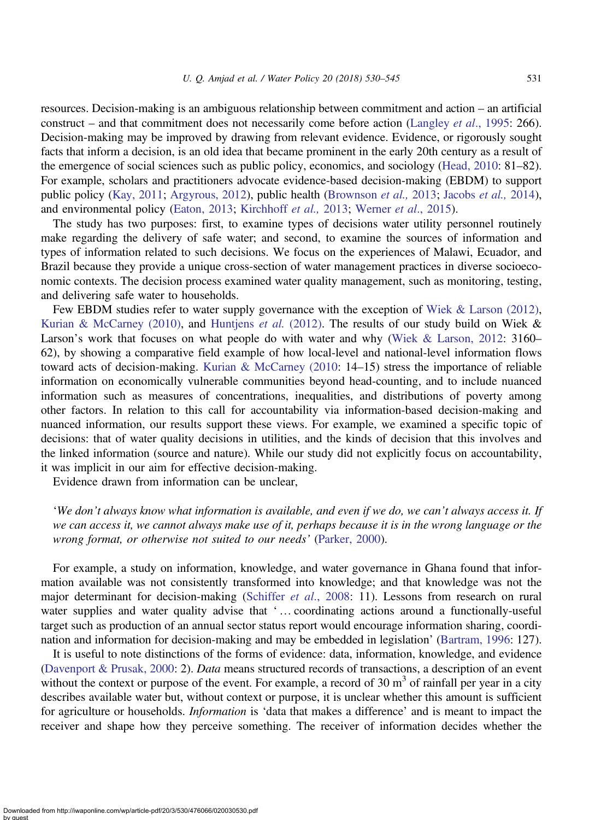resources. Decision-making is an ambiguous relationship between commitment and action – an artificial construct – and that commitment does not necessarily come before action ([Langley](#page-15-0) et al., 1995: 266). Decision-making may be improved by drawing from relevant evidence. Evidence, or rigorously sought facts that inform a decision, is an old idea that became prominent in the early 20th century as a result of the emergence of social sciences such as public policy, economics, and sociology ([Head, 2010](#page-14-0): 81–82). For example, scholars and practitioners advocate evidence-based decision-making (EBDM) to support public policy ([Kay, 2011;](#page-14-0) [Argyrous, 2012](#page-14-0)), public health [\(Brownson](#page-14-0) et al., 2013; [Jacobs](#page-14-0) et al., 2014), and environmental policy [\(Eaton, 2013](#page-14-0); [Kirchhoff](#page-14-0) et al., 2013; [Werner](#page-15-0) et al., 2015).

The study has two purposes: first, to examine types of decisions water utility personnel routinely make regarding the delivery of safe water; and second, to examine the sources of information and types of information related to such decisions. We focus on the experiences of Malawi, Ecuador, and Brazil because they provide a unique cross-section of water management practices in diverse socioeconomic contexts. The decision process examined water quality management, such as monitoring, testing, and delivering safe water to households.

Few EBDM studies refer to water supply governance with the exception of [Wiek & Larson \(2012\)](#page-15-0), [Kurian & McCarney \(2010\),](#page-15-0) and [Huntjens](#page-14-0) et al. (2012). The results of our study build on Wiek & Larson's work that focuses on what people do with water and why [\(Wiek & Larson, 2012:](#page-15-0) 3160– 62), by showing a comparative field example of how local-level and national-level information flows toward acts of decision-making. [Kurian & McCarney \(2010](#page-15-0): 14–15) stress the importance of reliable information on economically vulnerable communities beyond head-counting, and to include nuanced information such as measures of concentrations, inequalities, and distributions of poverty among other factors. In relation to this call for accountability via information-based decision-making and nuanced information, our results support these views. For example, we examined a specific topic of decisions: that of water quality decisions in utilities, and the kinds of decision that this involves and the linked information (source and nature). While our study did not explicitly focus on accountability, it was implicit in our aim for effective decision-making.

Evidence drawn from information can be unclear,

'We don't always know what information is available, and even if we do, we can't always access it. If we can access it, we cannot always make use of it, perhaps because it is in the wrong language or the wrong format, or otherwise not suited to our needs' [\(Parker, 2000\)](#page-15-0).

For example, a study on information, knowledge, and water governance in Ghana found that information available was not consistently transformed into knowledge; and that knowledge was not the major determinant for decision-making [\(Schiffer](#page-15-0) et al., 2008: 11). Lessons from research on rural water supplies and water quality advise that '... coordinating actions around a functionally-useful target such as production of an annual sector status report would encourage information sharing, coordination and information for decision-making and may be embedded in legislation' [\(Bartram, 1996](#page-14-0): 127).

It is useful to note distinctions of the forms of evidence: data, information, knowledge, and evidence ([Davenport & Prusak, 2000:](#page-14-0) 2). Data means structured records of transactions, a description of an event without the context or purpose of the event. For example, a record of  $30 \text{ m}^3$  of rainfall per year in a city describes available water but, without context or purpose, it is unclear whether this amount is sufficient for agriculture or households. Information is 'data that makes a difference' and is meant to impact the receiver and shape how they perceive something. The receiver of information decides whether the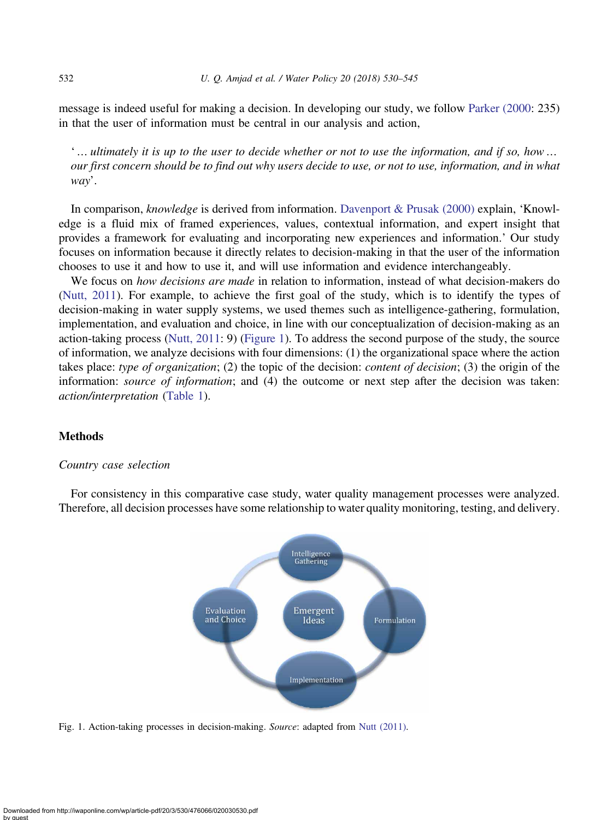message is indeed useful for making a decision. In developing our study, we follow [Parker \(2000](#page-15-0): 235) in that the user of information must be central in our analysis and action,

' … ultimately it is up to the user to decide whether or not to use the information, and if so, how … our first concern should be to find out why users decide to use, or not to use, information, and in what way'.

In comparison, knowledge is derived from information. [Davenport & Prusak \(2000\)](#page-14-0) explain, 'Knowledge is a fluid mix of framed experiences, values, contextual information, and expert insight that provides a framework for evaluating and incorporating new experiences and information.' Our study focuses on information because it directly relates to decision-making in that the user of the information chooses to use it and how to use it, and will use information and evidence interchangeably.

We focus on how decisions are made in relation to information, instead of what decision-makers do ([Nutt, 2011\)](#page-15-0). For example, to achieve the first goal of the study, which is to identify the types of decision-making in water supply systems, we used themes such as intelligence-gathering, formulation, implementation, and evaluation and choice, in line with our conceptualization of decision-making as an action-taking process ([Nutt, 2011:](#page-15-0) 9) (Figure 1). To address the second purpose of the study, the source of information, we analyze decisions with four dimensions: (1) the organizational space where the action takes place: type of organization; (2) the topic of the decision: *content of decision*; (3) the origin of the information: *source of information*; and (4) the outcome or next step after the decision was taken: action/interpretation ([Table 1\)](#page-3-0).

# **Methods**

#### Country case selection

For consistency in this comparative case study, water quality management processes were analyzed. Therefore, all decision processes have some relationship to water quality monitoring, testing, and delivery.



Fig. 1. Action-taking processes in decision-making. Source: adapted from [Nutt \(2011\).](#page-15-0)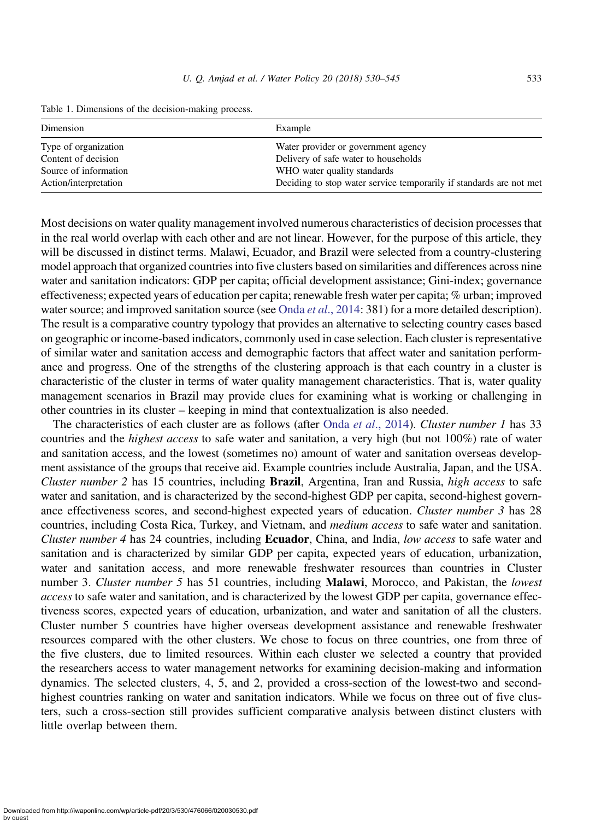<span id="page-3-0"></span>Table 1. Dimensions of the decision-making process.

| Dimension             | Example                                                             |
|-----------------------|---------------------------------------------------------------------|
| Type of organization  | Water provider or government agency                                 |
| Content of decision   | Delivery of safe water to households                                |
| Source of information | WHO water quality standards                                         |
| Action/interpretation | Deciding to stop water service temporarily if standards are not met |

Most decisions on water quality management involved numerous characteristics of decision processes that in the real world overlap with each other and are not linear. However, for the purpose of this article, they will be discussed in distinct terms. Malawi, Ecuador, and Brazil were selected from a country-clustering model approach that organized countries into five clusters based on similarities and differences across nine water and sanitation indicators: GDP per capita; official development assistance; Gini-index; governance effectiveness; expected years of education per capita; renewable fresh water per capita; % urban; improved water source; and improved sanitation source (see Onda et al[., 2014](#page-15-0): 381) for a more detailed description). The result is a comparative country typology that provides an alternative to selecting country cases based on geographic or income-based indicators, commonly used in case selection. Each cluster is representative of similar water and sanitation access and demographic factors that affect water and sanitation performance and progress. One of the strengths of the clustering approach is that each country in a cluster is characteristic of the cluster in terms of water quality management characteristics. That is, water quality management scenarios in Brazil may provide clues for examining what is working or challenging in other countries in its cluster – keeping in mind that contextualization is also needed.

The characteristics of each cluster are as follows (after Onda *et al.*, 2014). Cluster number 1 has 33 countries and the highest access to safe water and sanitation, a very high (but not 100%) rate of water and sanitation access, and the lowest (sometimes no) amount of water and sanitation overseas development assistance of the groups that receive aid. Example countries include Australia, Japan, and the USA. Cluster number 2 has 15 countries, including **Brazil**, Argentina, Iran and Russia, *high access* to safe water and sanitation, and is characterized by the second-highest GDP per capita, second-highest governance effectiveness scores, and second-highest expected years of education. Cluster number 3 has 28 countries, including Costa Rica, Turkey, and Vietnam, and medium access to safe water and sanitation. Cluster number 4 has 24 countries, including Ecuador, China, and India, low access to safe water and sanitation and is characterized by similar GDP per capita, expected years of education, urbanization, water and sanitation access, and more renewable freshwater resources than countries in Cluster number 3. Cluster number 5 has 51 countries, including Malawi, Morocco, and Pakistan, the lowest access to safe water and sanitation, and is characterized by the lowest GDP per capita, governance effectiveness scores, expected years of education, urbanization, and water and sanitation of all the clusters. Cluster number 5 countries have higher overseas development assistance and renewable freshwater resources compared with the other clusters. We chose to focus on three countries, one from three of the five clusters, due to limited resources. Within each cluster we selected a country that provided the researchers access to water management networks for examining decision-making and information dynamics. The selected clusters, 4, 5, and 2, provided a cross-section of the lowest-two and secondhighest countries ranking on water and sanitation indicators. While we focus on three out of five clusters, such a cross-section still provides sufficient comparative analysis between distinct clusters with little overlap between them.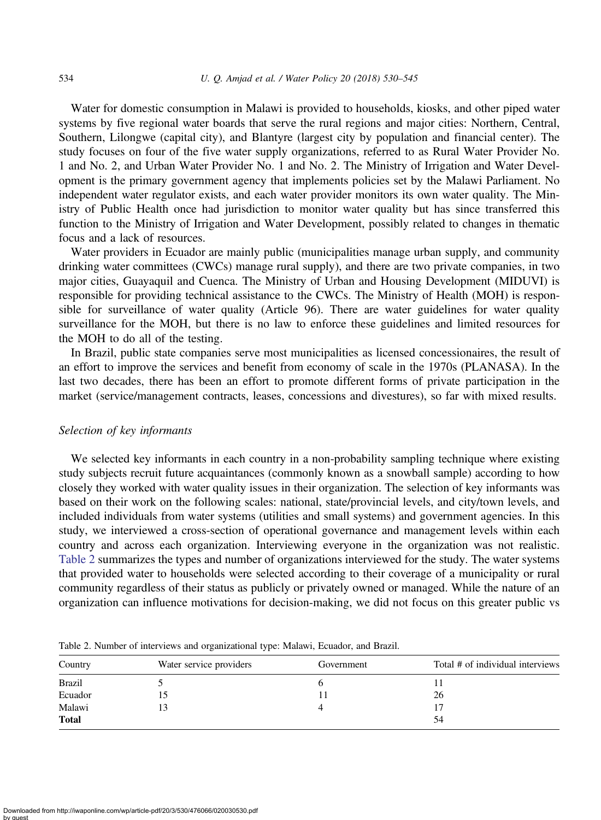Water for domestic consumption in Malawi is provided to households, kiosks, and other piped water systems by five regional water boards that serve the rural regions and major cities: Northern, Central, Southern, Lilongwe (capital city), and Blantyre (largest city by population and financial center). The study focuses on four of the five water supply organizations, referred to as Rural Water Provider No. 1 and No. 2, and Urban Water Provider No. 1 and No. 2. The Ministry of Irrigation and Water Development is the primary government agency that implements policies set by the Malawi Parliament. No independent water regulator exists, and each water provider monitors its own water quality. The Ministry of Public Health once had jurisdiction to monitor water quality but has since transferred this function to the Ministry of Irrigation and Water Development, possibly related to changes in thematic focus and a lack of resources.

Water providers in Ecuador are mainly public (municipalities manage urban supply, and community drinking water committees (CWCs) manage rural supply), and there are two private companies, in two major cities, Guayaquil and Cuenca. The Ministry of Urban and Housing Development (MIDUVI) is responsible for providing technical assistance to the CWCs. The Ministry of Health (MOH) is responsible for surveillance of water quality (Article 96). There are water guidelines for water quality surveillance for the MOH, but there is no law to enforce these guidelines and limited resources for the MOH to do all of the testing.

In Brazil, public state companies serve most municipalities as licensed concessionaires, the result of an effort to improve the services and benefit from economy of scale in the 1970s (PLANASA). In the last two decades, there has been an effort to promote different forms of private participation in the market (service/management contracts, leases, concessions and divestures), so far with mixed results.

# Selection of key informants

We selected key informants in each country in a non-probability sampling technique where existing study subjects recruit future acquaintances (commonly known as a snowball sample) according to how closely they worked with water quality issues in their organization. The selection of key informants was based on their work on the following scales: national, state/provincial levels, and city/town levels, and included individuals from water systems (utilities and small systems) and government agencies. In this study, we interviewed a cross-section of operational governance and management levels within each country and across each organization. Interviewing everyone in the organization was not realistic. Table 2 summarizes the types and number of organizations interviewed for the study. The water systems that provided water to households were selected according to their coverage of a municipality or rural community regardless of their status as publicly or privately owned or managed. While the nature of an organization can influence motivations for decision-making, we did not focus on this greater public vs

| Country | Water service providers | Government | Total # of individual interviews |
|---------|-------------------------|------------|----------------------------------|
| Brazil  |                         |            |                                  |
| Ecuador |                         |            | 26                               |
| Malawi  |                         |            |                                  |
| Total   |                         |            | 54                               |

Table 2. Number of interviews and organizational type: Malawi, Ecuador, and Brazil.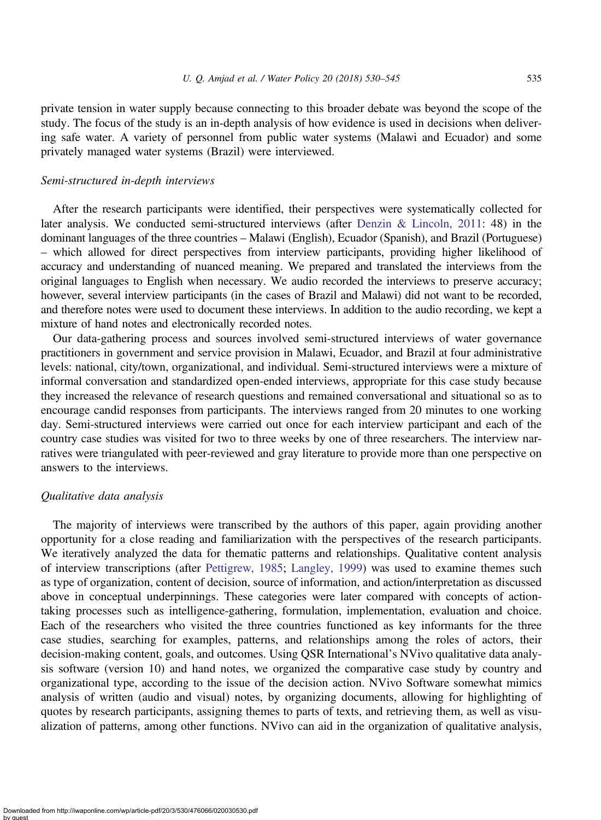private tension in water supply because connecting to this broader debate was beyond the scope of the study. The focus of the study is an in-depth analysis of how evidence is used in decisions when delivering safe water. A variety of personnel from public water systems (Malawi and Ecuador) and some privately managed water systems (Brazil) were interviewed.

#### Semi-structured in-depth interviews

After the research participants were identified, their perspectives were systematically collected for later analysis. We conducted semi-structured interviews (after [Denzin & Lincoln, 2011:](#page-14-0) 48) in the dominant languages of the three countries – Malawi (English), Ecuador (Spanish), and Brazil (Portuguese) – which allowed for direct perspectives from interview participants, providing higher likelihood of accuracy and understanding of nuanced meaning. We prepared and translated the interviews from the original languages to English when necessary. We audio recorded the interviews to preserve accuracy; however, several interview participants (in the cases of Brazil and Malawi) did not want to be recorded, and therefore notes were used to document these interviews. In addition to the audio recording, we kept a mixture of hand notes and electronically recorded notes.

Our data-gathering process and sources involved semi-structured interviews of water governance practitioners in government and service provision in Malawi, Ecuador, and Brazil at four administrative levels: national, city/town, organizational, and individual. Semi-structured interviews were a mixture of informal conversation and standardized open-ended interviews, appropriate for this case study because they increased the relevance of research questions and remained conversational and situational so as to encourage candid responses from participants. The interviews ranged from 20 minutes to one working day. Semi-structured interviews were carried out once for each interview participant and each of the country case studies was visited for two to three weeks by one of three researchers. The interview narratives were triangulated with peer-reviewed and gray literature to provide more than one perspective on answers to the interviews.

## Qualitative data analysis

The majority of interviews were transcribed by the authors of this paper, again providing another opportunity for a close reading and familiarization with the perspectives of the research participants. We iteratively analyzed the data for thematic patterns and relationships. Qualitative content analysis of interview transcriptions (after [Pettigrew, 1985;](#page-15-0) [Langley, 1999](#page-15-0)) was used to examine themes such as type of organization, content of decision, source of information, and action/interpretation as discussed above in conceptual underpinnings. These categories were later compared with concepts of actiontaking processes such as intelligence-gathering, formulation, implementation, evaluation and choice. Each of the researchers who visited the three countries functioned as key informants for the three case studies, searching for examples, patterns, and relationships among the roles of actors, their decision-making content, goals, and outcomes. Using QSR International's NVivo qualitative data analysis software (version 10) and hand notes, we organized the comparative case study by country and organizational type, according to the issue of the decision action. NVivo Software somewhat mimics analysis of written (audio and visual) notes, by organizing documents, allowing for highlighting of quotes by research participants, assigning themes to parts of texts, and retrieving them, as well as visualization of patterns, among other functions. NVivo can aid in the organization of qualitative analysis,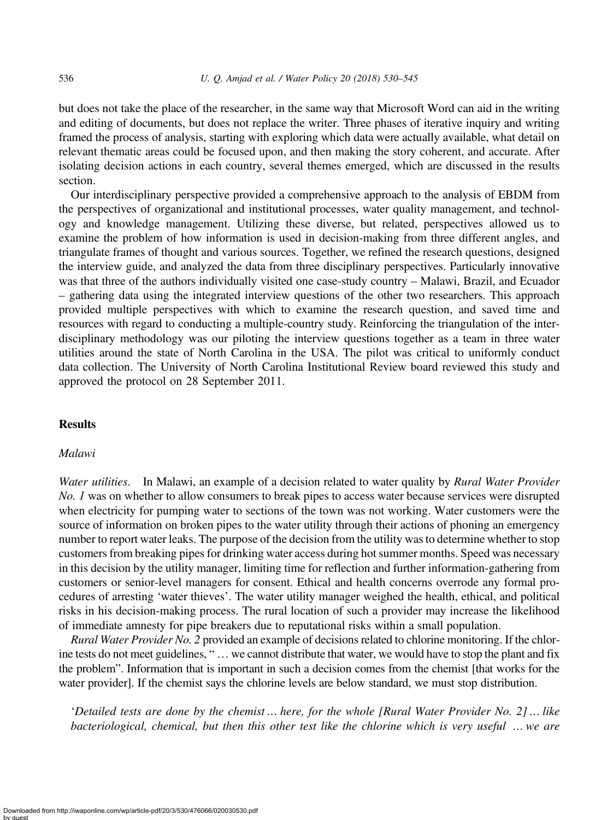but does not take the place of the researcher, in the same way that Microsoft Word can aid in the writing and editing of documents, but does not replace the writer. Three phases of iterative inquiry and writing framed the process of analysis, starting with exploring which data were actually available, what detail on relevant thematic areas could be focused upon, and then making the story coherent, and accurate. After isolating decision actions in each country, several themes emerged, which are discussed in the results section.

Our interdisciplinary perspective provided a comprehensive approach to the analysis of EBDM from the perspectives of organizational and institutional processes, water quality management, and technology and knowledge management. Utilizing these diverse, but related, perspectives allowed us to examine the problem of how information is used in decision-making from three different angles, and triangulate frames of thought and various sources. Together, we refined the research questions, designed the interview guide, and analyzed the data from three disciplinary perspectives. Particularly innovative was that three of the authors individually visited one case-study country – Malawi, Brazil, and Ecuador – gathering data using the integrated interview questions of the other two researchers. This approach provided multiple perspectives with which to examine the research question, and saved time and resources with regard to conducting a multiple-country study. Reinforcing the triangulation of the interdisciplinary methodology was our piloting the interview questions together as a team in three water utilities around the state of North Carolina in the USA. The pilot was critical to uniformly conduct data collection. The University of North Carolina Institutional Review board reviewed this study and approved the protocol on 28 September 2011.

# **Results**

# Malawi

Water utilities. In Malawi, an example of a decision related to water quality by Rural Water Provider No. 1 was on whether to allow consumers to break pipes to access water because services were disrupted when electricity for pumping water to sections of the town was not working. Water customers were the source of information on broken pipes to the water utility through their actions of phoning an emergency number to report water leaks. The purpose of the decision from the utility was to determine whether to stop customers from breaking pipes for drinking water access during hot summer months. Speed was necessary in this decision by the utility manager, limiting time for reflection and further information-gathering from customers or senior-level managers for consent. Ethical and health concerns overrode any formal procedures of arresting 'water thieves'. The water utility manager weighed the health, ethical, and political risks in his decision-making process. The rural location of such a provider may increase the likelihood of immediate amnesty for pipe breakers due to reputational risks within a small population.

Rural Water Provider No. 2 provided an example of decisions related to chlorine monitoring. If the chlorine tests do not meet guidelines, " … we cannot distribute that water, we would have to stop the plant and fix the problem". Information that is important in such a decision comes from the chemist [that works for the water provider]. If the chemist says the chlorine levels are below standard, we must stop distribution.

'Detailed tests are done by the chemist … here, for the whole [Rural Water Provider No. 2] … like bacteriological, chemical, but then this other test like the chlorine which is very useful … we are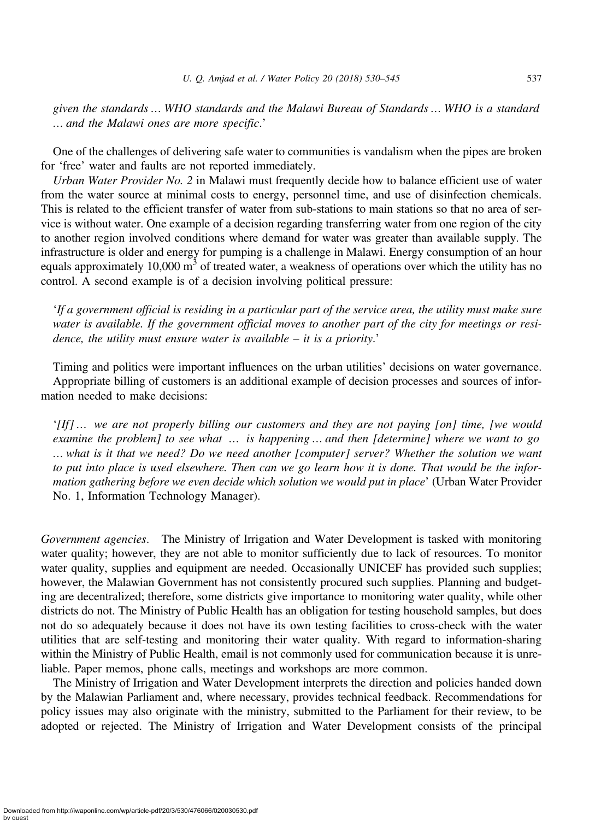given the standards … WHO standards and the Malawi Bureau of Standards … WHO is a standard … and the Malawi ones are more specific.'

One of the challenges of delivering safe water to communities is vandalism when the pipes are broken for 'free' water and faults are not reported immediately.

Urban Water Provider No. 2 in Malawi must frequently decide how to balance efficient use of water from the water source at minimal costs to energy, personnel time, and use of disinfection chemicals. This is related to the efficient transfer of water from sub-stations to main stations so that no area of service is without water. One example of a decision regarding transferring water from one region of the city to another region involved conditions where demand for water was greater than available supply. The infrastructure is older and energy for pumping is a challenge in Malawi. Energy consumption of an hour equals approximately  $10,000 \text{ m}^3$  of treated water, a weakness of operations over which the utility has no control. A second example is of a decision involving political pressure:

'If a government official is residing in a particular part of the service area, the utility must make sure water is available. If the government official moves to another part of the city for meetings or residence, the utility must ensure water is available  $-$  it is a priority.'

Timing and politics were important influences on the urban utilities' decisions on water governance. Appropriate billing of customers is an additional example of decision processes and sources of information needed to make decisions:

'[If] … we are not properly billing our customers and they are not paying [on] time, [we would examine the problem] to see what … is happening … and then [determine] where we want to go … what is it that we need? Do we need another [computer] server? Whether the solution we want to put into place is used elsewhere. Then can we go learn how it is done. That would be the information gathering before we even decide which solution we would put in place' (Urban Water Provider No. 1, Information Technology Manager).

Government agencies. The Ministry of Irrigation and Water Development is tasked with monitoring water quality; however, they are not able to monitor sufficiently due to lack of resources. To monitor water quality, supplies and equipment are needed. Occasionally UNICEF has provided such supplies; however, the Malawian Government has not consistently procured such supplies. Planning and budgeting are decentralized; therefore, some districts give importance to monitoring water quality, while other districts do not. The Ministry of Public Health has an obligation for testing household samples, but does not do so adequately because it does not have its own testing facilities to cross-check with the water utilities that are self-testing and monitoring their water quality. With regard to information-sharing within the Ministry of Public Health, email is not commonly used for communication because it is unreliable. Paper memos, phone calls, meetings and workshops are more common.

The Ministry of Irrigation and Water Development interprets the direction and policies handed down by the Malawian Parliament and, where necessary, provides technical feedback. Recommendations for policy issues may also originate with the ministry, submitted to the Parliament for their review, to be adopted or rejected. The Ministry of Irrigation and Water Development consists of the principal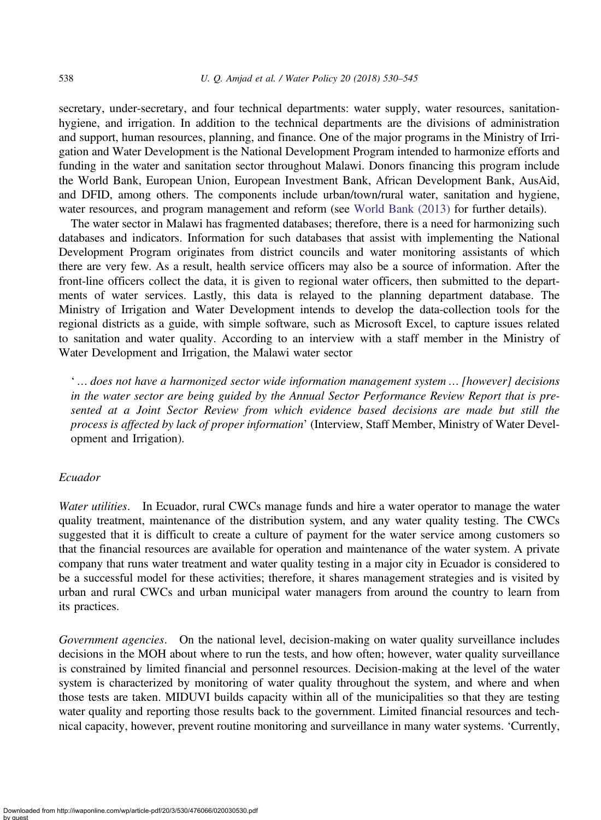secretary, under-secretary, and four technical departments: water supply, water resources, sanitationhygiene, and irrigation. In addition to the technical departments are the divisions of administration and support, human resources, planning, and finance. One of the major programs in the Ministry of Irrigation and Water Development is the National Development Program intended to harmonize efforts and funding in the water and sanitation sector throughout Malawi. Donors financing this program include the World Bank, European Union, European Investment Bank, African Development Bank, AusAid, and DFID, among others. The components include urban/town/rural water, sanitation and hygiene, water resources, and program management and reform (see [World Bank \(2013\)](#page-15-0) for further details).

The water sector in Malawi has fragmented databases; therefore, there is a need for harmonizing such databases and indicators. Information for such databases that assist with implementing the National Development Program originates from district councils and water monitoring assistants of which there are very few. As a result, health service officers may also be a source of information. After the front-line officers collect the data, it is given to regional water officers, then submitted to the departments of water services. Lastly, this data is relayed to the planning department database. The Ministry of Irrigation and Water Development intends to develop the data-collection tools for the regional districts as a guide, with simple software, such as Microsoft Excel, to capture issues related to sanitation and water quality. According to an interview with a staff member in the Ministry of Water Development and Irrigation, the Malawi water sector

' … does not have a harmonized sector wide information management system … [however] decisions in the water sector are being guided by the Annual Sector Performance Review Report that is presented at a Joint Sector Review from which evidence based decisions are made but still the process is affected by lack of proper information' (Interview, Staff Member, Ministry of Water Development and Irrigation).

## Ecuador

Water utilities. In Ecuador, rural CWCs manage funds and hire a water operator to manage the water quality treatment, maintenance of the distribution system, and any water quality testing. The CWCs suggested that it is difficult to create a culture of payment for the water service among customers so that the financial resources are available for operation and maintenance of the water system. A private company that runs water treatment and water quality testing in a major city in Ecuador is considered to be a successful model for these activities; therefore, it shares management strategies and is visited by urban and rural CWCs and urban municipal water managers from around the country to learn from its practices.

Government agencies. On the national level, decision-making on water quality surveillance includes decisions in the MOH about where to run the tests, and how often; however, water quality surveillance is constrained by limited financial and personnel resources. Decision-making at the level of the water system is characterized by monitoring of water quality throughout the system, and where and when those tests are taken. MIDUVI builds capacity within all of the municipalities so that they are testing water quality and reporting those results back to the government. Limited financial resources and technical capacity, however, prevent routine monitoring and surveillance in many water systems. 'Currently,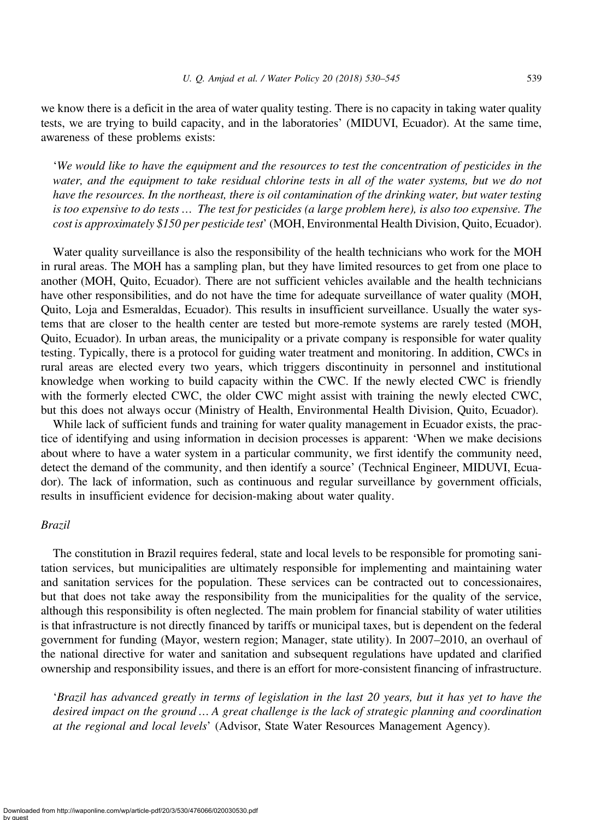we know there is a deficit in the area of water quality testing. There is no capacity in taking water quality tests, we are trying to build capacity, and in the laboratories' (MIDUVI, Ecuador). At the same time, awareness of these problems exists:

'We would like to have the equipment and the resources to test the concentration of pesticides in the water, and the equipment to take residual chlorine tests in all of the water systems, but we do not have the resources. In the northeast, there is oil contamination of the drinking water, but water testing is too expensive to do tests … The test for pesticides (a large problem here), is also too expensive. The cost is approximately \$150 per pesticide test' (MOH, Environmental Health Division, Quito, Ecuador).

Water quality surveillance is also the responsibility of the health technicians who work for the MOH in rural areas. The MOH has a sampling plan, but they have limited resources to get from one place to another (MOH, Quito, Ecuador). There are not sufficient vehicles available and the health technicians have other responsibilities, and do not have the time for adequate surveillance of water quality (MOH, Quito, Loja and Esmeraldas, Ecuador). This results in insufficient surveillance. Usually the water systems that are closer to the health center are tested but more-remote systems are rarely tested (MOH, Quito, Ecuador). In urban areas, the municipality or a private company is responsible for water quality testing. Typically, there is a protocol for guiding water treatment and monitoring. In addition, CWCs in rural areas are elected every two years, which triggers discontinuity in personnel and institutional knowledge when working to build capacity within the CWC. If the newly elected CWC is friendly with the formerly elected CWC, the older CWC might assist with training the newly elected CWC, but this does not always occur (Ministry of Health, Environmental Health Division, Quito, Ecuador).

While lack of sufficient funds and training for water quality management in Ecuador exists, the practice of identifying and using information in decision processes is apparent: 'When we make decisions about where to have a water system in a particular community, we first identify the community need, detect the demand of the community, and then identify a source' (Technical Engineer, MIDUVI, Ecuador). The lack of information, such as continuous and regular surveillance by government officials, results in insufficient evidence for decision-making about water quality.

#### Brazil

The constitution in Brazil requires federal, state and local levels to be responsible for promoting sanitation services, but municipalities are ultimately responsible for implementing and maintaining water and sanitation services for the population. These services can be contracted out to concessionaires, but that does not take away the responsibility from the municipalities for the quality of the service, although this responsibility is often neglected. The main problem for financial stability of water utilities is that infrastructure is not directly financed by tariffs or municipal taxes, but is dependent on the federal government for funding (Mayor, western region; Manager, state utility). In 2007–2010, an overhaul of the national directive for water and sanitation and subsequent regulations have updated and clarified ownership and responsibility issues, and there is an effort for more-consistent financing of infrastructure.

'Brazil has advanced greatly in terms of legislation in the last 20 years, but it has yet to have the desired impact on the ground … A great challenge is the lack of strategic planning and coordination at the regional and local levels' (Advisor, State Water Resources Management Agency).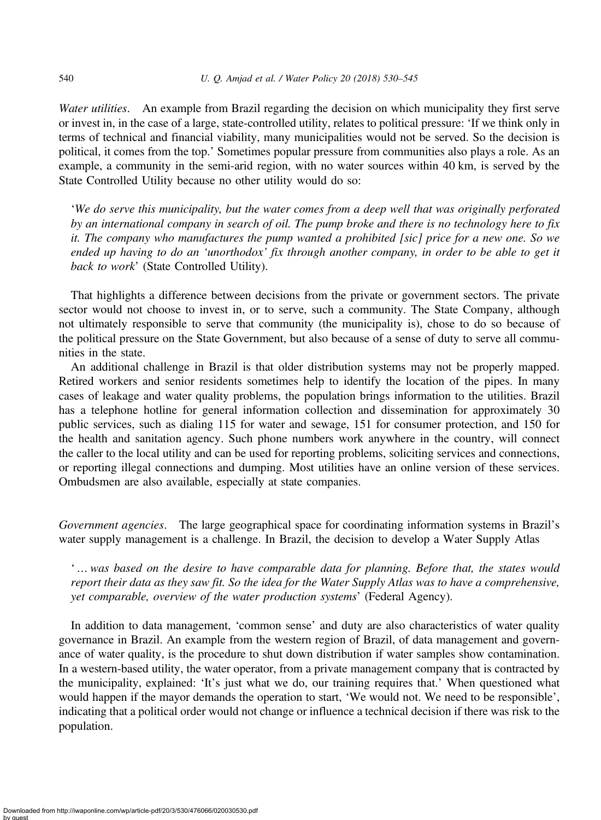Water utilities. An example from Brazil regarding the decision on which municipality they first serve or invest in, in the case of a large, state-controlled utility, relates to political pressure: 'If we think only in terms of technical and financial viability, many municipalities would not be served. So the decision is political, it comes from the top.' Sometimes popular pressure from communities also plays a role. As an example, a community in the semi-arid region, with no water sources within 40 km, is served by the State Controlled Utility because no other utility would do so:

'We do serve this municipality, but the water comes from a deep well that was originally perforated by an international company in search of oil. The pump broke and there is no technology here to fix it. The company who manufactures the pump wanted a prohibited [sic] price for a new one. So we ended up having to do an 'unorthodox' fix through another company, in order to be able to get it back to work' (State Controlled Utility).

That highlights a difference between decisions from the private or government sectors. The private sector would not choose to invest in, or to serve, such a community. The State Company, although not ultimately responsible to serve that community (the municipality is), chose to do so because of the political pressure on the State Government, but also because of a sense of duty to serve all communities in the state.

An additional challenge in Brazil is that older distribution systems may not be properly mapped. Retired workers and senior residents sometimes help to identify the location of the pipes. In many cases of leakage and water quality problems, the population brings information to the utilities. Brazil has a telephone hotline for general information collection and dissemination for approximately 30 public services, such as dialing 115 for water and sewage, 151 for consumer protection, and 150 for the health and sanitation agency. Such phone numbers work anywhere in the country, will connect the caller to the local utility and can be used for reporting problems, soliciting services and connections, or reporting illegal connections and dumping. Most utilities have an online version of these services. Ombudsmen are also available, especially at state companies.

Government agencies. The large geographical space for coordinating information systems in Brazil's water supply management is a challenge. In Brazil, the decision to develop a Water Supply Atlas

' … was based on the desire to have comparable data for planning. Before that, the states would report their data as they saw fit. So the idea for the Water Supply Atlas was to have a comprehensive, yet comparable, overview of the water production systems' (Federal Agency).

In addition to data management, 'common sense' and duty are also characteristics of water quality governance in Brazil. An example from the western region of Brazil, of data management and governance of water quality, is the procedure to shut down distribution if water samples show contamination. In a western-based utility, the water operator, from a private management company that is contracted by the municipality, explained: 'It's just what we do, our training requires that.' When questioned what would happen if the mayor demands the operation to start, 'We would not. We need to be responsible', indicating that a political order would not change or influence a technical decision if there was risk to the population.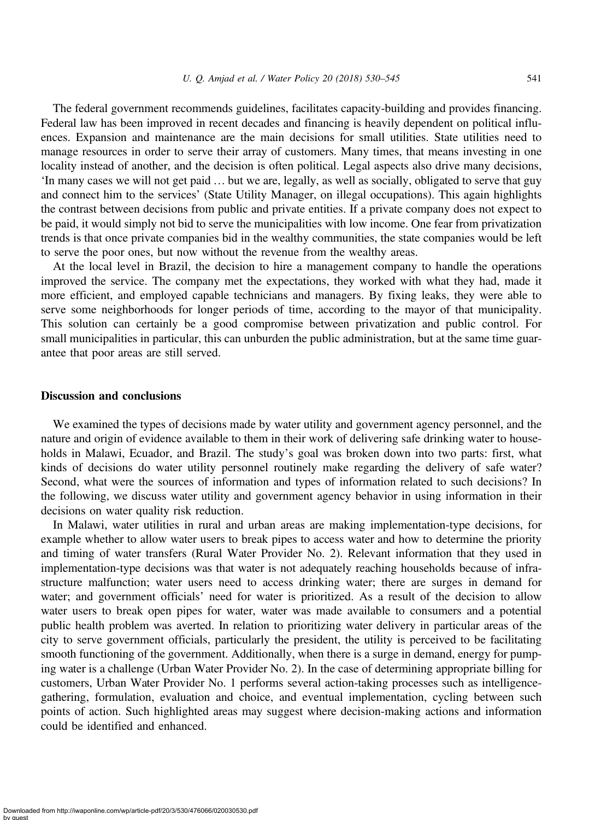The federal government recommends guidelines, facilitates capacity-building and provides financing. Federal law has been improved in recent decades and financing is heavily dependent on political influences. Expansion and maintenance are the main decisions for small utilities. State utilities need to manage resources in order to serve their array of customers. Many times, that means investing in one locality instead of another, and the decision is often political. Legal aspects also drive many decisions, 'In many cases we will not get paid … but we are, legally, as well as socially, obligated to serve that guy and connect him to the services' (State Utility Manager, on illegal occupations). This again highlights the contrast between decisions from public and private entities. If a private company does not expect to be paid, it would simply not bid to serve the municipalities with low income. One fear from privatization trends is that once private companies bid in the wealthy communities, the state companies would be left to serve the poor ones, but now without the revenue from the wealthy areas.

At the local level in Brazil, the decision to hire a management company to handle the operations improved the service. The company met the expectations, they worked with what they had, made it more efficient, and employed capable technicians and managers. By fixing leaks, they were able to serve some neighborhoods for longer periods of time, according to the mayor of that municipality. This solution can certainly be a good compromise between privatization and public control. For small municipalities in particular, this can unburden the public administration, but at the same time guarantee that poor areas are still served.

## Discussion and conclusions

We examined the types of decisions made by water utility and government agency personnel, and the nature and origin of evidence available to them in their work of delivering safe drinking water to households in Malawi, Ecuador, and Brazil. The study's goal was broken down into two parts: first, what kinds of decisions do water utility personnel routinely make regarding the delivery of safe water? Second, what were the sources of information and types of information related to such decisions? In the following, we discuss water utility and government agency behavior in using information in their decisions on water quality risk reduction.

In Malawi, water utilities in rural and urban areas are making implementation-type decisions, for example whether to allow water users to break pipes to access water and how to determine the priority and timing of water transfers (Rural Water Provider No. 2). Relevant information that they used in implementation-type decisions was that water is not adequately reaching households because of infrastructure malfunction; water users need to access drinking water; there are surges in demand for water; and government officials' need for water is prioritized. As a result of the decision to allow water users to break open pipes for water, water was made available to consumers and a potential public health problem was averted. In relation to prioritizing water delivery in particular areas of the city to serve government officials, particularly the president, the utility is perceived to be facilitating smooth functioning of the government. Additionally, when there is a surge in demand, energy for pumping water is a challenge (Urban Water Provider No. 2). In the case of determining appropriate billing for customers, Urban Water Provider No. 1 performs several action-taking processes such as intelligencegathering, formulation, evaluation and choice, and eventual implementation, cycling between such points of action. Such highlighted areas may suggest where decision-making actions and information could be identified and enhanced.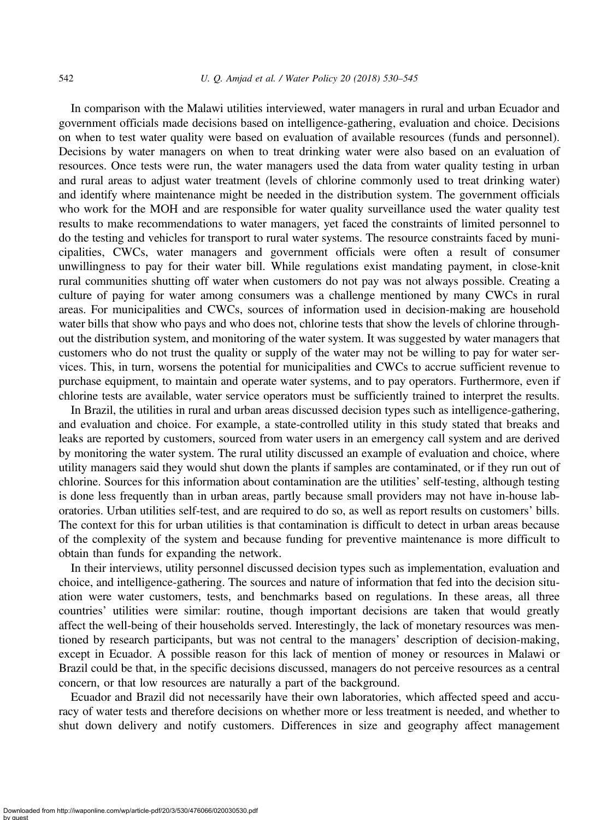In comparison with the Malawi utilities interviewed, water managers in rural and urban Ecuador and government officials made decisions based on intelligence-gathering, evaluation and choice. Decisions on when to test water quality were based on evaluation of available resources (funds and personnel). Decisions by water managers on when to treat drinking water were also based on an evaluation of resources. Once tests were run, the water managers used the data from water quality testing in urban and rural areas to adjust water treatment (levels of chlorine commonly used to treat drinking water) and identify where maintenance might be needed in the distribution system. The government officials who work for the MOH and are responsible for water quality surveillance used the water quality test results to make recommendations to water managers, yet faced the constraints of limited personnel to do the testing and vehicles for transport to rural water systems. The resource constraints faced by municipalities, CWCs, water managers and government officials were often a result of consumer unwillingness to pay for their water bill. While regulations exist mandating payment, in close-knit rural communities shutting off water when customers do not pay was not always possible. Creating a culture of paying for water among consumers was a challenge mentioned by many CWCs in rural areas. For municipalities and CWCs, sources of information used in decision-making are household water bills that show who pays and who does not, chlorine tests that show the levels of chlorine throughout the distribution system, and monitoring of the water system. It was suggested by water managers that customers who do not trust the quality or supply of the water may not be willing to pay for water services. This, in turn, worsens the potential for municipalities and CWCs to accrue sufficient revenue to purchase equipment, to maintain and operate water systems, and to pay operators. Furthermore, even if chlorine tests are available, water service operators must be sufficiently trained to interpret the results.

In Brazil, the utilities in rural and urban areas discussed decision types such as intelligence-gathering, and evaluation and choice. For example, a state-controlled utility in this study stated that breaks and leaks are reported by customers, sourced from water users in an emergency call system and are derived by monitoring the water system. The rural utility discussed an example of evaluation and choice, where utility managers said they would shut down the plants if samples are contaminated, or if they run out of chlorine. Sources for this information about contamination are the utilities' self-testing, although testing is done less frequently than in urban areas, partly because small providers may not have in-house laboratories. Urban utilities self-test, and are required to do so, as well as report results on customers' bills. The context for this for urban utilities is that contamination is difficult to detect in urban areas because of the complexity of the system and because funding for preventive maintenance is more difficult to obtain than funds for expanding the network.

In their interviews, utility personnel discussed decision types such as implementation, evaluation and choice, and intelligence-gathering. The sources and nature of information that fed into the decision situation were water customers, tests, and benchmarks based on regulations. In these areas, all three countries' utilities were similar: routine, though important decisions are taken that would greatly affect the well-being of their households served. Interestingly, the lack of monetary resources was mentioned by research participants, but was not central to the managers' description of decision-making, except in Ecuador. A possible reason for this lack of mention of money or resources in Malawi or Brazil could be that, in the specific decisions discussed, managers do not perceive resources as a central concern, or that low resources are naturally a part of the background.

Ecuador and Brazil did not necessarily have their own laboratories, which affected speed and accuracy of water tests and therefore decisions on whether more or less treatment is needed, and whether to shut down delivery and notify customers. Differences in size and geography affect management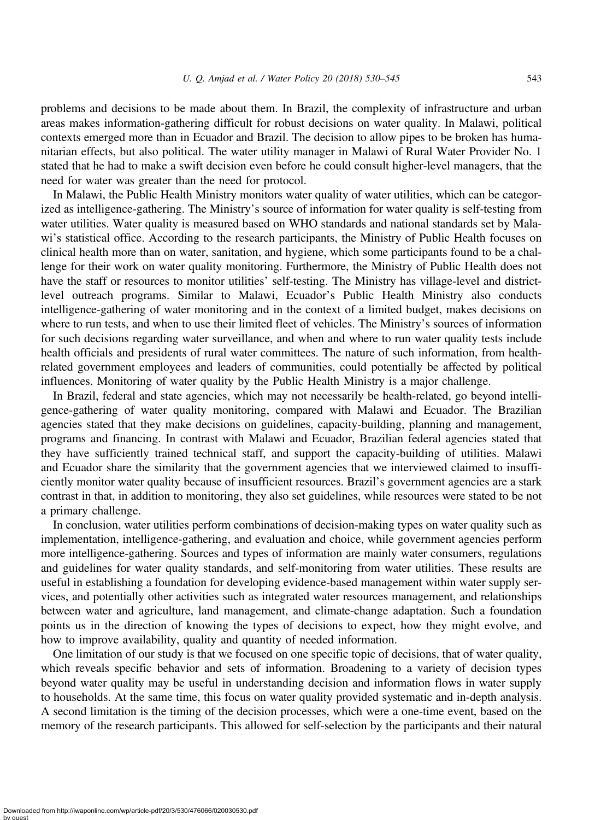problems and decisions to be made about them. In Brazil, the complexity of infrastructure and urban areas makes information-gathering difficult for robust decisions on water quality. In Malawi, political contexts emerged more than in Ecuador and Brazil. The decision to allow pipes to be broken has humanitarian effects, but also political. The water utility manager in Malawi of Rural Water Provider No. 1 stated that he had to make a swift decision even before he could consult higher-level managers, that the need for water was greater than the need for protocol.

In Malawi, the Public Health Ministry monitors water quality of water utilities, which can be categorized as intelligence-gathering. The Ministry's source of information for water quality is self-testing from water utilities. Water quality is measured based on WHO standards and national standards set by Malawi's statistical office. According to the research participants, the Ministry of Public Health focuses on clinical health more than on water, sanitation, and hygiene, which some participants found to be a challenge for their work on water quality monitoring. Furthermore, the Ministry of Public Health does not have the staff or resources to monitor utilities' self-testing. The Ministry has village-level and districtlevel outreach programs. Similar to Malawi, Ecuador's Public Health Ministry also conducts intelligence-gathering of water monitoring and in the context of a limited budget, makes decisions on where to run tests, and when to use their limited fleet of vehicles. The Ministry's sources of information for such decisions regarding water surveillance, and when and where to run water quality tests include health officials and presidents of rural water committees. The nature of such information, from healthrelated government employees and leaders of communities, could potentially be affected by political influences. Monitoring of water quality by the Public Health Ministry is a major challenge.

In Brazil, federal and state agencies, which may not necessarily be health-related, go beyond intelligence-gathering of water quality monitoring, compared with Malawi and Ecuador. The Brazilian agencies stated that they make decisions on guidelines, capacity-building, planning and management, programs and financing. In contrast with Malawi and Ecuador, Brazilian federal agencies stated that they have sufficiently trained technical staff, and support the capacity-building of utilities. Malawi and Ecuador share the similarity that the government agencies that we interviewed claimed to insufficiently monitor water quality because of insufficient resources. Brazil's government agencies are a stark contrast in that, in addition to monitoring, they also set guidelines, while resources were stated to be not a primary challenge.

In conclusion, water utilities perform combinations of decision-making types on water quality such as implementation, intelligence-gathering, and evaluation and choice, while government agencies perform more intelligence-gathering. Sources and types of information are mainly water consumers, regulations and guidelines for water quality standards, and self-monitoring from water utilities. These results are useful in establishing a foundation for developing evidence-based management within water supply services, and potentially other activities such as integrated water resources management, and relationships between water and agriculture, land management, and climate-change adaptation. Such a foundation points us in the direction of knowing the types of decisions to expect, how they might evolve, and how to improve availability, quality and quantity of needed information.

One limitation of our study is that we focused on one specific topic of decisions, that of water quality, which reveals specific behavior and sets of information. Broadening to a variety of decision types beyond water quality may be useful in understanding decision and information flows in water supply to households. At the same time, this focus on water quality provided systematic and in-depth analysis. A second limitation is the timing of the decision processes, which were a one-time event, based on the memory of the research participants. This allowed for self-selection by the participants and their natural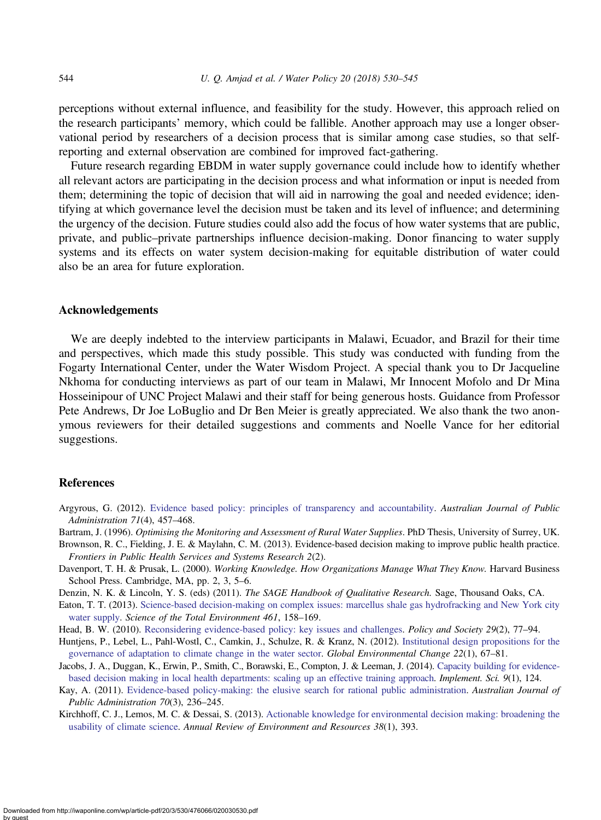<span id="page-14-0"></span>perceptions without external influence, and feasibility for the study. However, this approach relied on the research participants' memory, which could be fallible. Another approach may use a longer observational period by researchers of a decision process that is similar among case studies, so that selfreporting and external observation are combined for improved fact-gathering.

Future research regarding EBDM in water supply governance could include how to identify whether all relevant actors are participating in the decision process and what information or input is needed from them; determining the topic of decision that will aid in narrowing the goal and needed evidence; identifying at which governance level the decision must be taken and its level of influence; and determining the urgency of the decision. Future studies could also add the focus of how water systems that are public, private, and public–private partnerships influence decision-making. Donor financing to water supply systems and its effects on water system decision-making for equitable distribution of water could also be an area for future exploration.

## Acknowledgements

We are deeply indebted to the interview participants in Malawi, Ecuador, and Brazil for their time and perspectives, which made this study possible. This study was conducted with funding from the Fogarty International Center, under the Water Wisdom Project. A special thank you to Dr Jacqueline Nkhoma for conducting interviews as part of our team in Malawi, Mr Innocent Mofolo and Dr Mina Hosseinipour of UNC Project Malawi and their staff for being generous hosts. Guidance from Professor Pete Andrews, Dr Joe LoBuglio and Dr Ben Meier is greatly appreciated. We also thank the two anonymous reviewers for their detailed suggestions and comments and Noelle Vance for her editorial suggestions.

#### **References**

- Argyrous, G. (2012). [Evidence based policy: principles of transparency and accountability](http://dx.doi.org/10.1111/j.1467-8500.2012.00786.x). Australian Journal of Public Administration 71(4), 457-468.
- Bartram, J. (1996). Optimising the Monitoring and Assessment of Rural Water Supplies. PhD Thesis, University of Surrey, UK.
- Brownson, R. C., Fielding, J. E. & Maylahn, C. M. (2013). Evidence-based decision making to improve public health practice. Frontiers in Public Health Services and Systems Research 2(2).
- Davenport, T. H. & Prusak, L. (2000). Working Knowledge. How Organizations Manage What They Know. Harvard Business School Press. Cambridge, MA, pp. 2, 3, 5–6.
- Denzin, N. K. & Lincoln, Y. S. (eds) (2011). The SAGE Handbook of Qualitative Research. Sage, Thousand Oaks, CA.
- Eaton, T. T. (2013). [Science-based decision-making on complex issues: marcellus shale gas hydrofracking and New York city](http://dx.doi.org/10.1016/j.scitotenv.2013.04.093) [water supply.](http://dx.doi.org/10.1016/j.scitotenv.2013.04.093) Science of the Total Environment 461, 158–169.
- Head, B. W. (2010). [Reconsidering evidence-based policy: key issues and challenges.](http://dx.doi.org/10.1016/j.polsoc.2010.03.001) Policy and Society 29(2), 77-94.
- Huntjens, P., Lebel, L., Pahl-Wostl, C., Camkin, J., Schulze, R. & Kranz, N. (2012). [Institutional design propositions for the](http://dx.doi.org/10.1016/j.gloenvcha.2011.09.015) [governance of adaptation to climate change in the water sector](http://dx.doi.org/10.1016/j.gloenvcha.2011.09.015). Global Environmental Change 22(1), 67-81.
- Jacobs, J. A., Duggan, K., Erwin, P., Smith, C., Borawski, E., Compton, J. & Leeman, J. (2014). [Capacity building for evidence](http://dx.doi.org/10.1186/s13012-014-0124-x)[based decision making in local health departments: scaling up an effective training approach](http://dx.doi.org/10.1186/s13012-014-0124-x). Implement. Sci. 9(1), 124.
- Kay, A. (2011). [Evidence-based policy-making: the elusive search for rational public administration](http://dx.doi.org/10.1111/j.1467-8500.2011.00728.x). Australian Journal of Public Administration 70(3), 236–245.
- Kirchhoff, C. J., Lemos, M. C. & Dessai, S. (2013). [Actionable knowledge for environmental decision making: broadening the](http://dx.doi.org/10.1146/annurev-environ-022112-112828) [usability of climate science](http://dx.doi.org/10.1146/annurev-environ-022112-112828). Annual Review of Environment and Resources 38(1), 393.